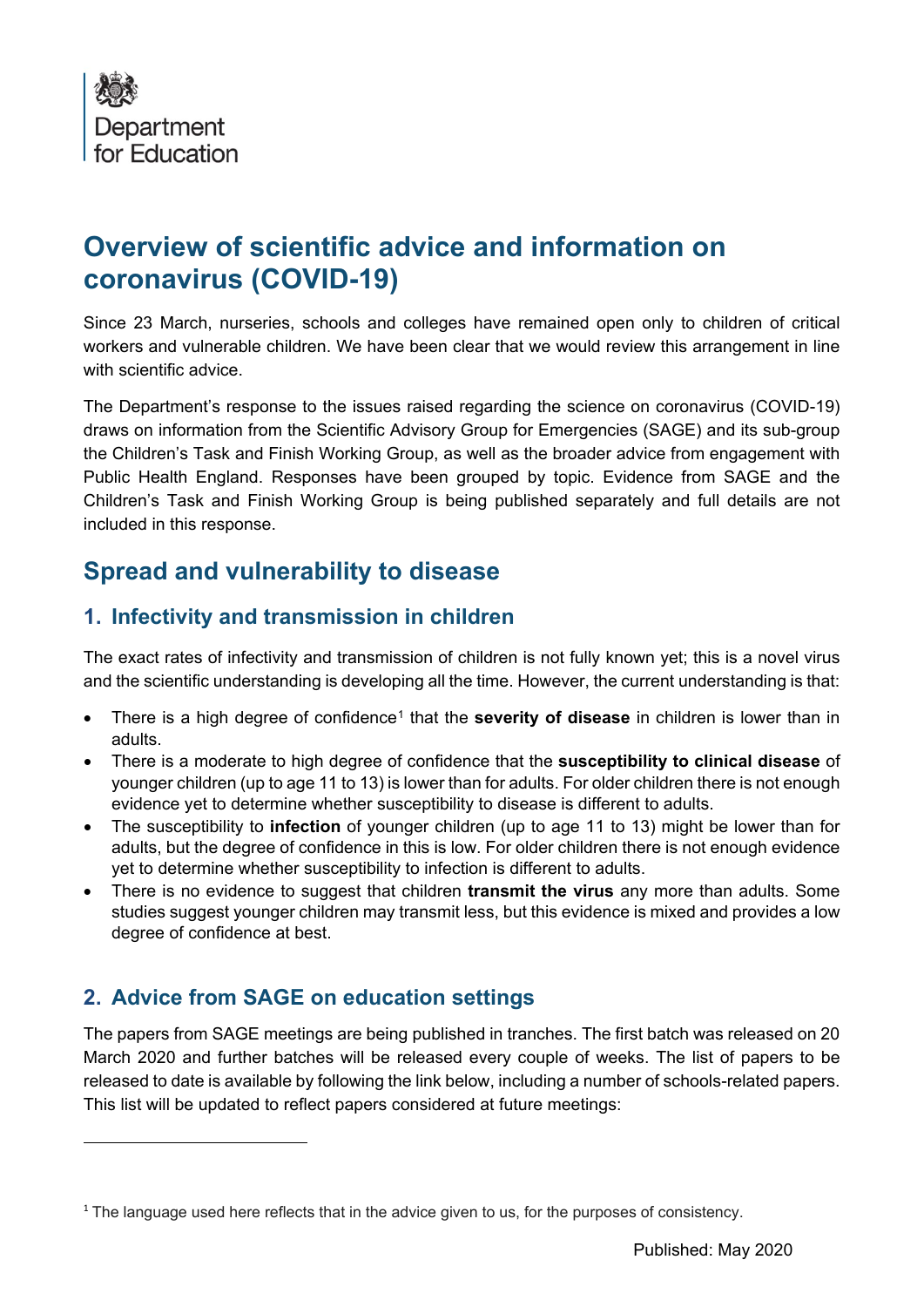

# **Overview of scientific advice and information on coronavirus (COVID-19)**

Since 23 March, nurseries, schools and colleges have remained open only to children of critical workers and vulnerable children. We have been clear that we would review this arrangement in line with scientific advice

The Department's response to the issues raised regarding the science on coronavirus (COVID-19) draws on information from the Scientific Advisory Group for Emergencies (SAGE) and its sub-group the Children's Task and Finish Working Group, as well as the broader advice from engagement with Public Health England. Responses have been grouped by topic. Evidence from SAGE and the Children's Task and Finish Working Group is being published separately and full details are not included in this response.

# **Spread and vulnerability to disease**

### **1. Infectivity and transmission in children**

The exact rates of infectivity and transmission of children is not fully known yet; this is a novel virus and the scientific understanding is developing all the time. However, the current understanding is that:

- Frere is a high degree of confidence<sup>[1](#page-0-0)</sup> that the **severity of disease** in children is lower than in adults.
- There is a moderate to high degree of confidence that the **susceptibility to clinical disease** of younger children (up to age 11 to 13) is lower than for adults. For older children there is not enough evidence yet to determine whether susceptibility to disease is different to adults.
- The susceptibility to **infection** of younger children (up to age 11 to 13) might be lower than for adults, but the degree of confidence in this is low. For older children there is not enough evidence yet to determine whether susceptibility to infection is different to adults.
- There is no evidence to suggest that children **transmit the virus** any more than adults. Some studies suggest younger children may transmit less, but this evidence is mixed and provides a low degree of confidence at best.

## **2. Advice from SAGE on education settings**

The papers from SAGE meetings are being published in tranches. The first batch was released on 20 March 2020 and further batches will be released every couple of weeks. The list of papers to be released to date is available by following the link below, including a number of schools-related papers. This list will be updated to reflect papers considered at future meetings:

<span id="page-0-0"></span><sup>&</sup>lt;sup>1</sup> The language used here reflects that in the advice given to us, for the purposes of consistency.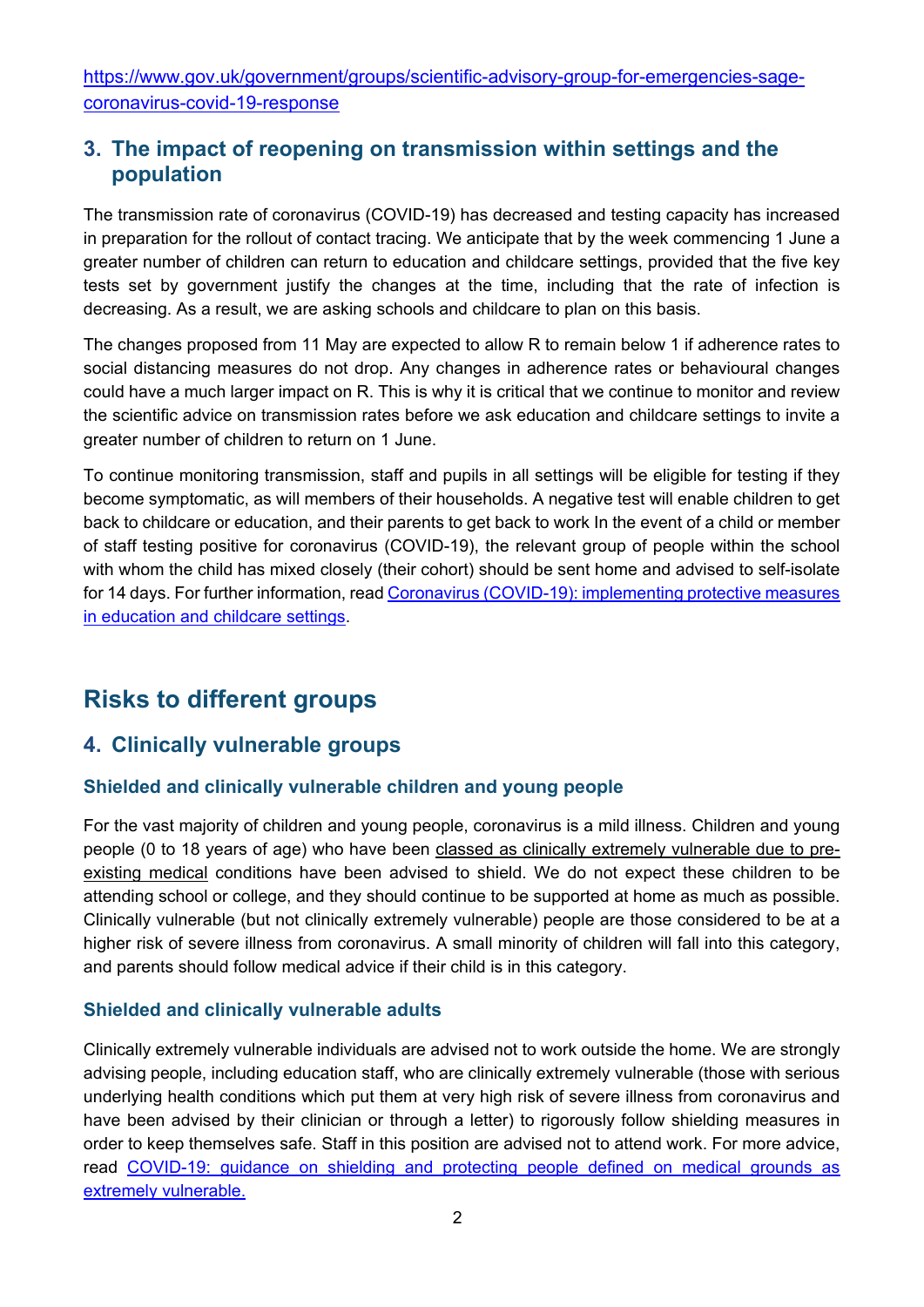[https://www.gov.uk/government/groups/scientific-advisory-group-for-emergencies-sage](https://www.gov.uk/government/groups/scientific-advisory-group-for-emergencies-sage-coronavirus-covid-19-response)[coronavirus-covid-19-response](https://www.gov.uk/government/groups/scientific-advisory-group-for-emergencies-sage-coronavirus-covid-19-response)

### **3. The impact of reopening on transmission within settings and the population**

The transmission rate of coronavirus (COVID-19) has decreased and testing capacity has increased in preparation for the rollout of contact tracing. We anticipate that by the week commencing 1 June a greater number of children can return to education and childcare settings, provided that the five key tests set by government justify the changes at the time, including that the rate of infection is decreasing. As a result, we are asking schools and childcare to plan on this basis.

The changes proposed from 11 May are expected to allow R to remain below 1 if adherence rates to social distancing measures do not drop. Any changes in adherence rates or behavioural changes could have a much larger impact on R. This is why it is critical that we continue to monitor and review the scientific advice on transmission rates before we ask education and childcare settings to invite a greater number of children to return on 1 June.

To continue monitoring transmission, staff and pupils in all settings will be eligible for testing if they become symptomatic, as will members of their households. A negative test will enable children to get back to childcare or education, and their parents to get back to work In the event of a child or member of staff testing positive for coronavirus (COVID-19), the relevant group of people within the school with whom the child has mixed closely (their cohort) should be sent home and advised to self-isolate for 14 days. For further information, read [Coronavirus \(COVID-19\): implementing protective measures](https://www.gov.uk/government/publications/coronavirus-covid-19-implementing-protective-measures-in-education-and-childcare-settings)  [in education and childcare settings.](https://www.gov.uk/government/publications/coronavirus-covid-19-implementing-protective-measures-in-education-and-childcare-settings)

# **Risks to different groups**

### **4. Clinically vulnerable groups**

#### **Shielded and clinically vulnerable children and young people**

For the vast majority of children and young people, coronavirus is a mild illness. Children and young people (0 to 18 years of age) who have been [classed as clinically extremely vulnerable due to pre](https://www.gov.uk/government/publications/guidance-on-shielding-and-protecting-extremely-vulnerable-persons-from-covid-19)[existing medical](https://www.gov.uk/government/publications/guidance-on-shielding-and-protecting-extremely-vulnerable-persons-from-covid-19) conditions have been advised to shield. We do not expect these children to be attending school or college, and they should continue to be supported at home as much as possible. Clinically vulnerable (but not clinically extremely vulnerable) people are those considered to be at a higher risk of severe illness from coronavirus. A small minority of children will fall into this category, and parents should follow medical advice if their child is in this category.

#### **Shielded and clinically vulnerable adults**

Clinically extremely vulnerable individuals are advised not to work outside the home. We are strongly advising people, including education staff, who are clinically extremely vulnerable (those with serious underlying health conditions which put them at very high risk of severe illness from coronavirus and have been advised by their clinician or through a letter) to rigorously follow shielding measures in order to keep themselves safe. Staff in this position are advised not to attend work. For more advice, read [COVID-19: guidance on shielding and protecting people defined on medical grounds as](https://www.gov.uk/government/publications/guidance-on-shielding-and-protecting-extremely-vulnerable-persons-from-covid-19)  [extremely vulnerable.](https://www.gov.uk/government/publications/guidance-on-shielding-and-protecting-extremely-vulnerable-persons-from-covid-19)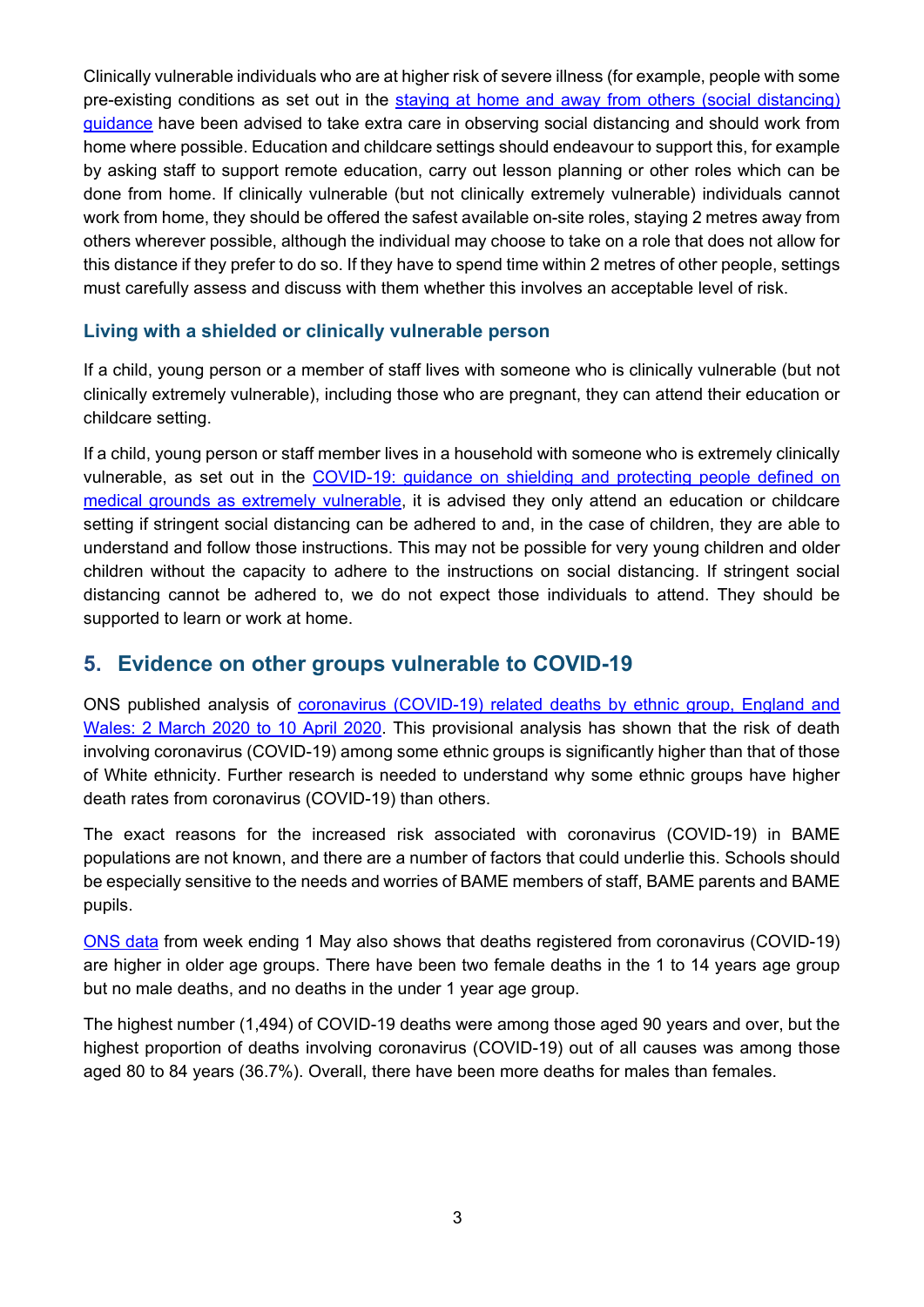Clinically vulnerable individuals who are at higher risk of severe illness (for example, people with some pre-existing conditions as set out in the [staying at home and away from others \(social distancing\)](https://www.gov.uk/government/publications/covid-19-staying-at-home-and-away-from-others-guidance-for-young-people)  [guidance](https://www.gov.uk/government/publications/covid-19-staying-at-home-and-away-from-others-guidance-for-young-people) have been advised to take extra care in observing social distancing and should work from home where possible. Education and childcare settings should endeavour to support this, for example by asking staff to support remote education, carry out lesson planning or other roles which can be done from home. If clinically vulnerable (but not clinically extremely vulnerable) individuals cannot work from home, they should be offered the safest available on-site roles, staying 2 metres away from others wherever possible, although the individual may choose to take on a role that does not allow for this distance if they prefer to do so. If they have to spend time within 2 metres of other people, settings must carefully assess and discuss with them whether this involves an acceptable level of risk.

#### **Living with a shielded or clinically vulnerable person**

If a child, young person or a member of staff lives with someone who is clinically vulnerable (but not clinically extremely vulnerable), including those who are pregnant, they can attend their education or childcare setting.

If a child, young person or staff member lives in a household with someone who is extremely clinically vulnerable, as set out in the [COVID-19: guidance on shielding and protecting people defined on](https://www.gov.uk/government/publications/guidance-on-shielding-and-protecting-extremely-vulnerable-persons-from-covid-19)  [medical grounds as extremely vulnerable,](https://www.gov.uk/government/publications/guidance-on-shielding-and-protecting-extremely-vulnerable-persons-from-covid-19) it is advised they only attend an education or childcare setting if stringent social distancing can be adhered to and, in the case of children, they are able to understand and follow those instructions. This may not be possible for very young children and older children without the capacity to adhere to the instructions on social distancing. If stringent social distancing cannot be adhered to, we do not expect those individuals to attend. They should be supported to learn or work at home.

### **5. Evidence on other groups vulnerable to COVID-19**

ONS published analysis of [coronavirus \(COVID-19\) related deaths by ethnic group, England and](https://www.ons.gov.uk/peoplepopulationandcommunity/birthsdeathsandmarriages/deaths/articles/coronavirusrelateddeathsbyethnicgroupenglandandwales/2march2020to10april2020)  [Wales: 2 March 2020 to 10 April 2020.](https://www.ons.gov.uk/peoplepopulationandcommunity/birthsdeathsandmarriages/deaths/articles/coronavirusrelateddeathsbyethnicgroupenglandandwales/2march2020to10april2020) This provisional analysis has shown that the risk of death involving coronavirus (COVID-19) among some ethnic groups is significantly higher than that of those of White ethnicity. Further research is needed to understand why some ethnic groups have higher death rates from coronavirus (COVID-19) than others.

The exact reasons for the increased risk associated with coronavirus (COVID-19) in BAME populations are not known, and there are a number of factors that could underlie this. Schools should be especially sensitive to the needs and worries of BAME members of staff, BAME parents and BAME pupils.

[ONS data](https://www.ons.gov.uk/peoplepopulationandcommunity/birthsdeathsandmarriages/deaths/bulletins/deathsregisteredweeklyinenglandandwalesprovisional/weekending1may2020#deaths-registered-by-age-group) from week ending 1 May also shows that deaths registered from coronavirus (COVID-19) are higher in older age groups. There have been two female deaths in the 1 to 14 years age group but no male deaths, and no deaths in the under 1 year age group.

The highest number (1,494) of COVID-19 deaths were among those aged 90 years and over, but the highest proportion of deaths involving coronavirus (COVID-19) out of all causes was among those aged 80 to 84 years (36.7%). Overall, there have been more deaths for males than females.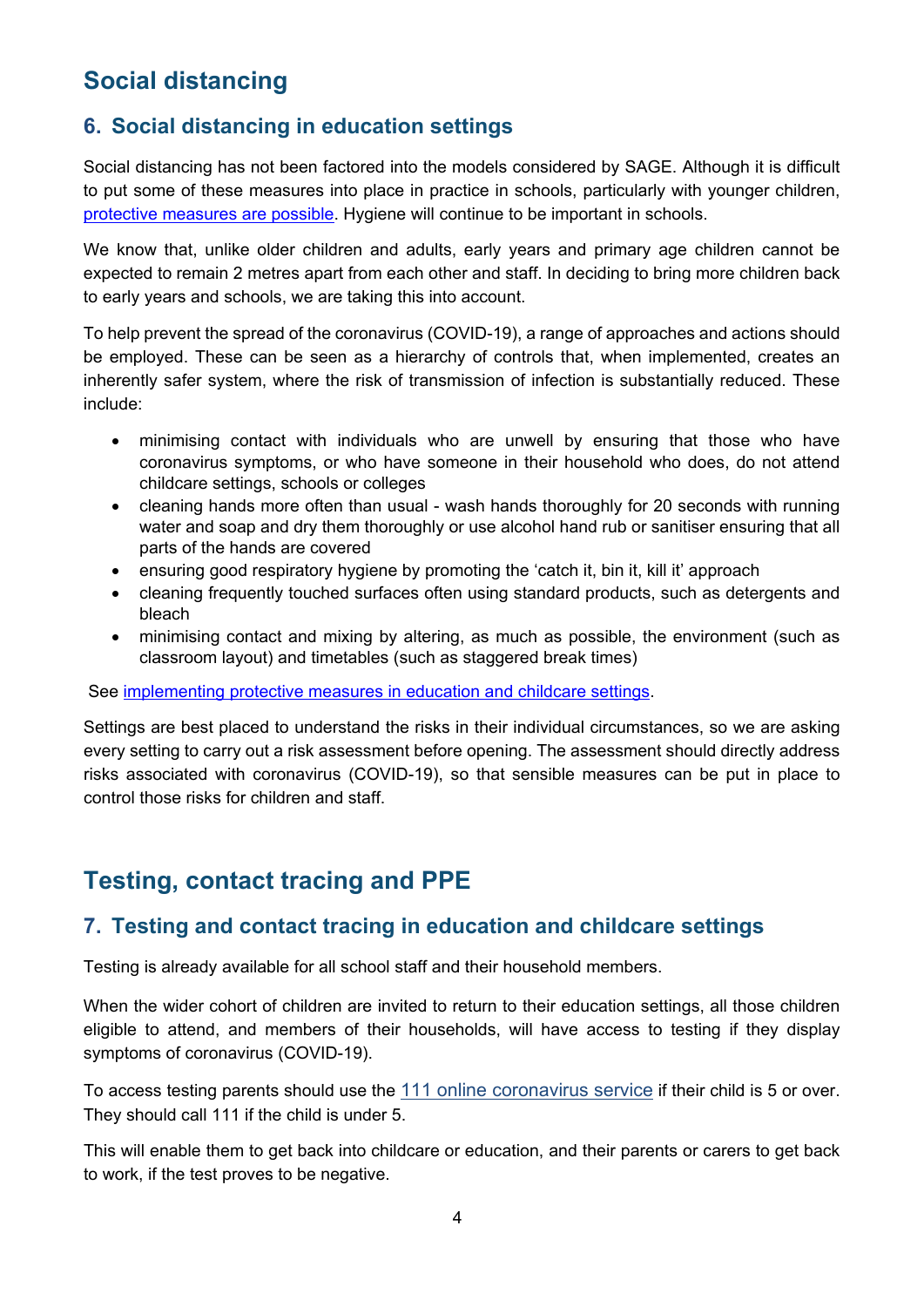# **Social distancing**

### **6. Social distancing in education settings**

Social distancing has not been factored into the models considered by SAGE. Although it is difficult to put some of these measures into place in practice in schools, particularly with younger children, [protective measures are possible.](https://www.gov.uk/government/publications/coronavirus-covid-19-implementing-protective-measures-in-education-and-childcare-settings) Hygiene will continue to be important in schools.

We know that, unlike older children and adults, early years and primary age children cannot be expected to remain 2 metres apart from each other and staff. In deciding to bring more children back to early years and schools, we are taking this into account.

To help prevent the spread of the coronavirus (COVID-19), a range of approaches and actions should be employed. These can be seen as a hierarchy of controls that, when implemented, creates an inherently safer system, where the risk of transmission of infection is substantially reduced. These include:

- minimising contact with individuals who are unwell by ensuring that those who have coronavirus symptoms, or who have someone in their household who does, do not attend childcare settings, schools or colleges
- cleaning hands more often than usual wash hands thoroughly for 20 seconds with running water and soap and dry them thoroughly or use alcohol hand rub or sanitiser ensuring that all parts of the hands are covered
- ensuring good respiratory hygiene by promoting the 'catch it, bin it, kill it' approach
- cleaning frequently touched surfaces often using standard products, such as detergents and bleach
- minimising contact and mixing by altering, as much as possible, the environment (such as classroom layout) and timetables (such as staggered break times)

See [implementing protective measures in education and childcare settings.](https://www.gov.uk/government/publications/coronavirus-covid-19-implementing-protective-measures-in-education-and-childcare-settings)

Settings are best placed to understand the risks in their individual circumstances, so we are asking every setting to carry out a risk assessment before opening. The assessment should directly address risks associated with coronavirus (COVID-19), so that sensible measures can be put in place to control those risks for children and staff.

# **Testing, contact tracing and PPE**

#### **7. Testing and contact tracing in education and childcare settings**

Testing is already available for all school staff and their household members.

When the wider cohort of children are invited to return to their education settings, all those children eligible to attend, and members of their households, will have access to testing if they display symptoms of coronavirus (COVID-19).

To access testing parents should use the [111 online coronavirus service](https://111.nhs.uk/covid-19/) if their child is 5 or over. They should call 111 if the child is under 5.

This will enable them to get back into childcare or education, and their parents or carers to get back to work, if the test proves to be negative.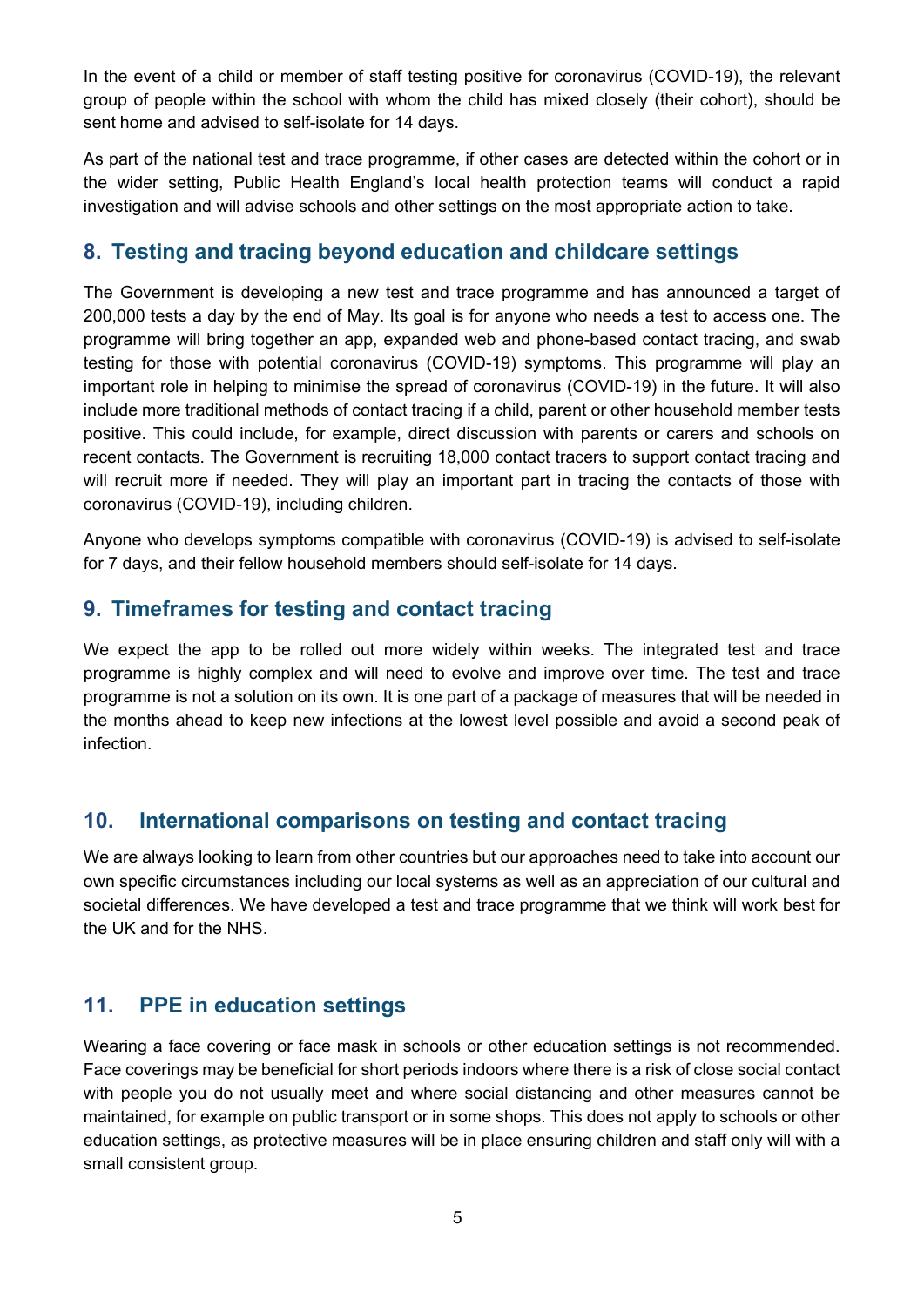In the event of a child or member of staff testing positive for coronavirus (COVID-19), the relevant group of people within the school with whom the child has mixed closely (their cohort), should be sent home and advised to self-isolate for 14 days.

As part of the national test and trace programme, if other cases are detected within the cohort or in the wider setting, Public Health England's local health protection teams will conduct a rapid investigation and will advise schools and other settings on the most appropriate action to take.

#### **8. Testing and tracing beyond education and childcare settings**

The Government is developing a new test and trace programme and has announced a target of 200,000 tests a day by the end of May. Its goal is for anyone who needs a test to access one. The programme will bring together an app, expanded web and phone-based contact tracing, and swab testing for those with potential coronavirus (COVID-19) symptoms. This programme will play an important role in helping to minimise the spread of coronavirus (COVID-19) in the future. It will also include more traditional methods of contact tracing if a child, parent or other household member tests positive. This could include, for example, direct discussion with parents or carers and schools on recent contacts. The Government is recruiting 18,000 contact tracers to support contact tracing and will recruit more if needed. They will play an important part in tracing the contacts of those with coronavirus (COVID-19), including children.

Anyone who develops symptoms compatible with coronavirus (COVID-19) is advised to self-isolate for 7 days, and their fellow household members should self-isolate for 14 days.

#### **9. Timeframes for testing and contact tracing**

We expect the app to be rolled out more widely within weeks. The integrated test and trace programme is highly complex and will need to evolve and improve over time. The test and trace programme is not a solution on its own. It is one part of a package of measures that will be needed in the months ahead to keep new infections at the lowest level possible and avoid a second peak of infection.

### **10. International comparisons on testing and contact tracing**

We are always looking to learn from other countries but our approaches need to take into account our own specific circumstances including our local systems as well as an appreciation of our cultural and societal differences. We have developed a test and trace programme that we think will work best for the UK and for the NHS.

### **11. PPE in education settings**

Wearing a face covering or face mask in schools or other education settings is not recommended. Face coverings may be beneficial for short periods indoors where there is a risk of close social contact with people you do not usually meet and where social distancing and other measures cannot be maintained, for example on public transport or in some shops. This does not apply to schools or other education settings, as protective measures will be in place ensuring children and staff only will with a small consistent group.